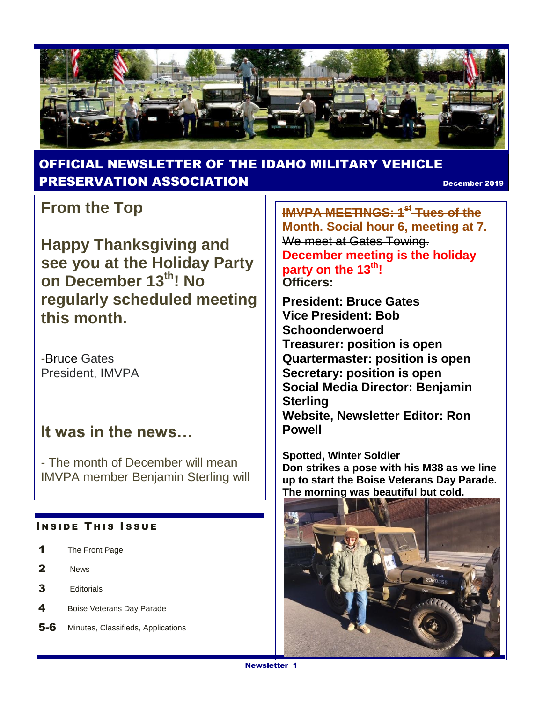

#### OFFICIAL NEWSLETTER OF THE IDAHO MILITARY VEHICLE **PRESERVATION ASSOCIATION CONSUMING THE CONSUMING PRESERVATION**

### **From the Top**

**Happy Thanksgiving and see you at the Holiday Party on December 13th! No regularly scheduled meeting this month.**

-Bruce Gates President, IMVPA

#### **It was in the news…**

- The month of December will mean IMVPA member Benjamin Sterling will

#### **INSIDE THIS ISSUE**

- 1 The Front Page
- 2 News
- 3 Editorials
- 4 Boise Veterans Day Parade
- 5-6 Minutes, Classifieds, Applications

**IMVPA MEETINGS: 1st Tues of the Month. Social hour 6, meeting at 7.**  We meet at Gates Towing. **December meeting is the holiday party on the 13th! Officers:**

**President: Bruce Gates Vice President: Bob Schoonderwoerd Treasurer: position is open Quartermaster: position is open Secretary: position is open Social Media Director: Benjamin Sterling Website, Newsletter Editor: Ron Powell**

**Spotted, Winter Soldier Don strikes a pose with his M38 as we line up to start the Boise Veterans Day Parade. The morning was beautiful but cold.**

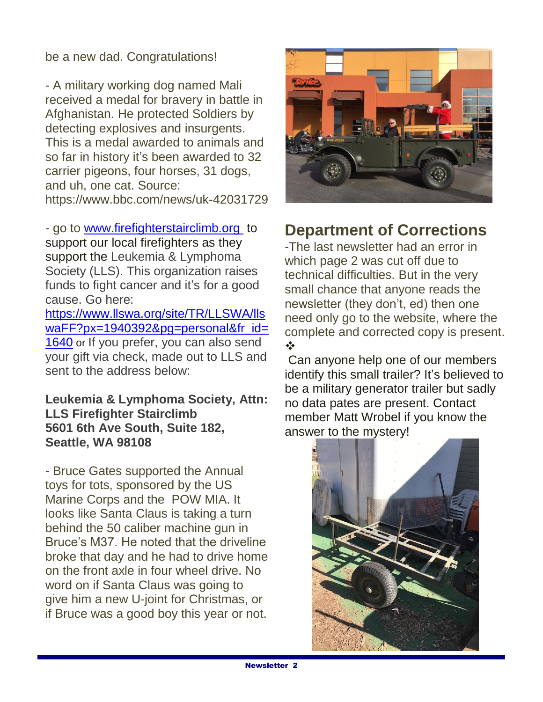be a new dad. Congratulations!

- A military working dog named Mali received a medal for bravery in battle in Afghanistan. He protected Soldiers by detecting explosives and insurgents. This is a medal awarded to animals and so far in history it's been awarded to 32 carrier pigeons, four horses, 31 dogs, and uh, one cat. Source: https://www.bbc.com/news/uk-42031729

- go to [www.firefighterstairclimb.org](http://www.firefighterstairclimb.org/) to support our local firefighters as they support the Leukemia & Lymphoma Society (LLS). This organization raises funds to fight cancer and it's for a good cause. Go here:

[https://www.llswa.org/site/TR/LLSWA/lls](https://www.llswa.org/site/TR/LLSWA/llswaFF?px=1940392&pg=personal&fr_id=1640) waFF?px=1940392&pq=personal&fr\_id= [1640](https://www.llswa.org/site/TR/LLSWA/llswaFF?px=1940392&pg=personal&fr_id=1640) or If you prefer, you can also send your gift via check, made out to LLS and sent to the address below:

**Leukemia & Lymphoma Society, Attn: LLS Firefighter Stairclimb 5601 6th Ave South, Suite 182, Seattle, WA 98108**

- Bruce Gates supported the Annual toys for tots, sponsored by the US Marine Corps and the POW MIA. It looks like Santa Claus is taking a turn behind the 50 caliber machine gun in Bruce's M37. He noted that the driveline broke that day and he had to drive home on the front axle in four wheel drive. No word on if Santa Claus was going to give him a new U-joint for Christmas, or if Bruce was a good boy this year or not.



## **Department of Corrections**

-The last newsletter had an error in which page 2 was cut off due to technical difficulties. But in the very small chance that anyone reads the newsletter (they don't, ed) then one need only go to the website, where the complete and corrected copy is present. ❖

Can anyone help one of our members identify this small trailer? It's believed to be a military generator trailer but sadly no data pates are present. Contact member Matt Wrobel if you know the answer to the mystery!

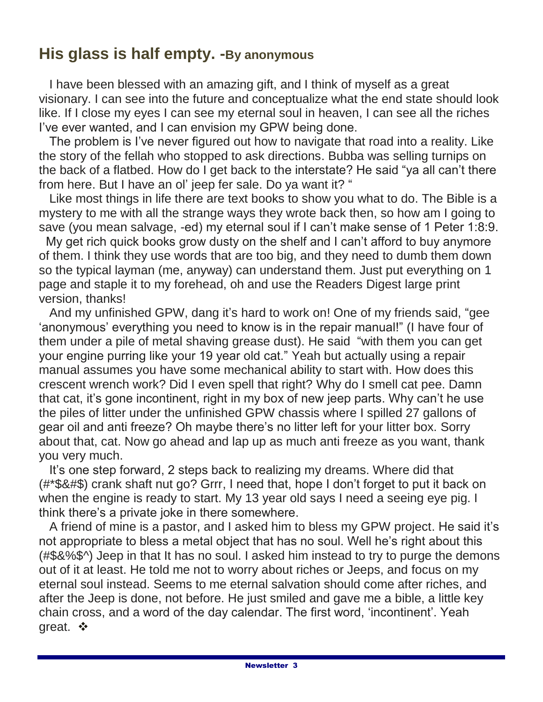### **His glass is half empty. -By anonymous**

 I have been blessed with an amazing gift, and I think of myself as a great visionary. I can see into the future and conceptualize what the end state should look like. If I close my eyes I can see my eternal soul in heaven, I can see all the riches I've ever wanted, and I can envision my GPW being done.

 The problem is I've never figured out how to navigate that road into a reality. Like the story of the fellah who stopped to ask directions. Bubba was selling turnips on the back of a flatbed. How do I get back to the interstate? He said "ya all can't there from here. But I have an ol' jeep fer sale. Do ya want it? "

 Like most things in life there are text books to show you what to do. The Bible is a mystery to me with all the strange ways they wrote back then, so how am I going to save (you mean salvage, -ed) my eternal soul if I can't make sense of 1 Peter 1:8:9.

My get rich quick books grow dusty on the shelf and I can't afford to buy anymore of them. I think they use words that are too big, and they need to dumb them down so the typical layman (me, anyway) can understand them. Just put everything on 1 page and staple it to my forehead, oh and use the Readers Digest large print version, thanks!

 And my unfinished GPW, dang it's hard to work on! One of my friends said, "gee 'anonymous' everything you need to know is in the repair manual!" (I have four of them under a pile of metal shaving grease dust). He said "with them you can get your engine purring like your 19 year old cat." Yeah but actually using a repair manual assumes you have some mechanical ability to start with. How does this crescent wrench work? Did I even spell that right? Why do I smell cat pee. Damn that cat, it's gone incontinent, right in my box of new jeep parts. Why can't he use the piles of litter under the unfinished GPW chassis where I spilled 27 gallons of gear oil and anti freeze? Oh maybe there's no litter left for your litter box. Sorry about that, cat. Now go ahead and lap up as much anti freeze as you want, thank you very much.

 It's one step forward, 2 steps back to realizing my dreams. Where did that (#\*\$&#\$) crank shaft nut go? Grrr, I need that, hope I don't forget to put it back on when the engine is ready to start. My 13 year old says I need a seeing eye pig. I think there's a private joke in there somewhere.

 A friend of mine is a pastor, and I asked him to bless my GPW project. He said it's not appropriate to bless a metal object that has no soul. Well he's right about this (#\$&%\$^) Jeep in that It has no soul. I asked him instead to try to purge the demons out of it at least. He told me not to worry about riches or Jeeps, and focus on my eternal soul instead. Seems to me eternal salvation should come after riches, and after the Jeep is done, not before. He just smiled and gave me a bible, a little key chain cross, and a word of the day calendar. The first word, 'incontinent'. Yeah great.  $\mathbf{\hat{z}}$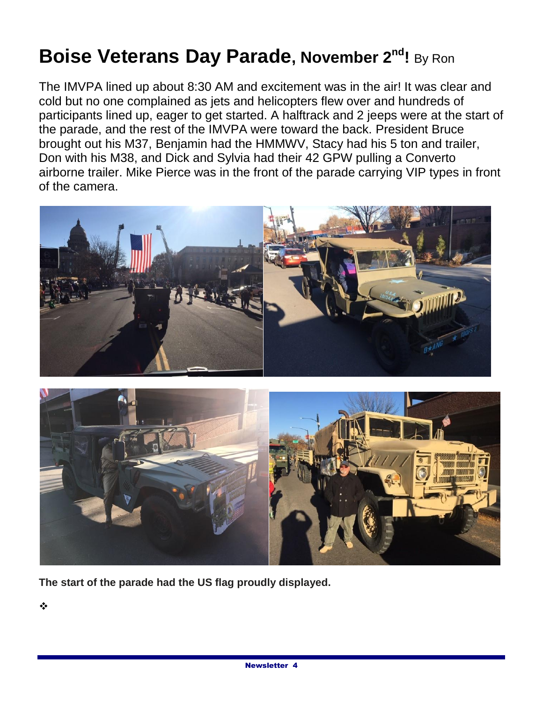# **Boise Veterans Day Parade, November 2nd!** By Ron

The IMVPA lined up about 8:30 AM and excitement was in the air! It was clear and cold but no one complained as jets and helicopters flew over and hundreds of participants lined up, eager to get started. A halftrack and 2 jeeps were at the start of the parade, and the rest of the IMVPA were toward the back. President Bruce brought out his M37, Benjamin had the HMMWV, Stacy had his 5 ton and trailer, Don with his M38, and Dick and Sylvia had their 42 GPW pulling a Converto airborne trailer. Mike Pierce was in the front of the parade carrying VIP types in front of the camera.





**The start of the parade had the US flag proudly displayed.**

❖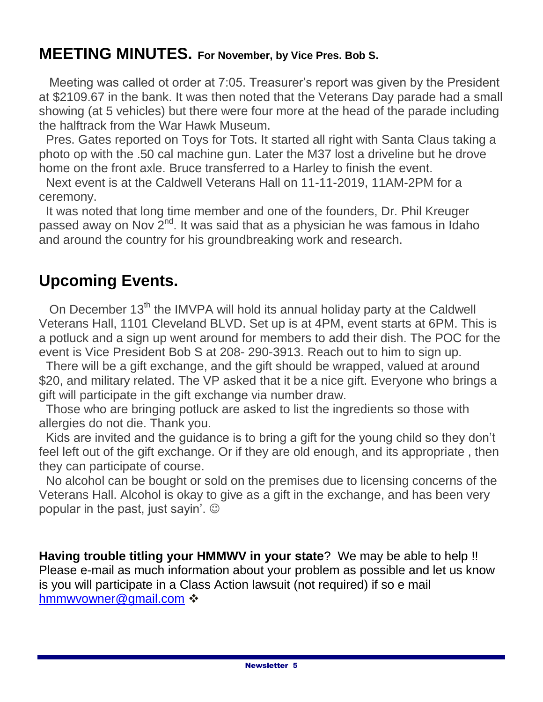### **MEETING MINUTES. For November, by Vice Pres. Bob S.**

 Meeting was called ot order at 7:05. Treasurer's report was given by the President at \$2109.67 in the bank. It was then noted that the Veterans Day parade had a small showing (at 5 vehicles) but there were four more at the head of the parade including the halftrack from the War Hawk Museum.

 Pres. Gates reported on Toys for Tots. It started all right with Santa Claus taking a photo op with the .50 cal machine gun. Later the M37 lost a driveline but he drove home on the front axle. Bruce transferred to a Harley to finish the event.

 Next event is at the Caldwell Veterans Hall on 11-11-2019, 11AM-2PM for a ceremony.

 It was noted that long time member and one of the founders, Dr. Phil Kreuger passed away on Nov  $2^{nd}$ . It was said that as a physician he was famous in Idaho and around the country for his groundbreaking work and research.

### **Upcoming Events.**

On December 13<sup>th</sup> the IMVPA will hold its annual holiday party at the Caldwell Veterans Hall, 1101 Cleveland BLVD. Set up is at 4PM, event starts at 6PM. This is a potluck and a sign up went around for members to add their dish. The POC for the event is Vice President Bob S at 208- 290-3913. Reach out to him to sign up.

 There will be a gift exchange, and the gift should be wrapped, valued at around \$20, and military related. The VP asked that it be a nice gift. Everyone who brings a gift will participate in the gift exchange via number draw.

 Those who are bringing potluck are asked to list the ingredients so those with allergies do not die. Thank you.

 Kids are invited and the guidance is to bring a gift for the young child so they don't feel left out of the gift exchange. Or if they are old enough, and its appropriate , then they can participate of course.

 No alcohol can be bought or sold on the premises due to licensing concerns of the Veterans Hall. Alcohol is okay to give as a gift in the exchange, and has been very popular in the past, just sayin'.

**Having trouble titling your HMMWV in your state**? We may be able to help !! Please e-mail as much information about your problem as possible and let us know is you will participate in a Class Action lawsuit (not required) if so e mail [hmmwvowner@gmail.com](mailto:hmmwvowner@gmail.com) ❖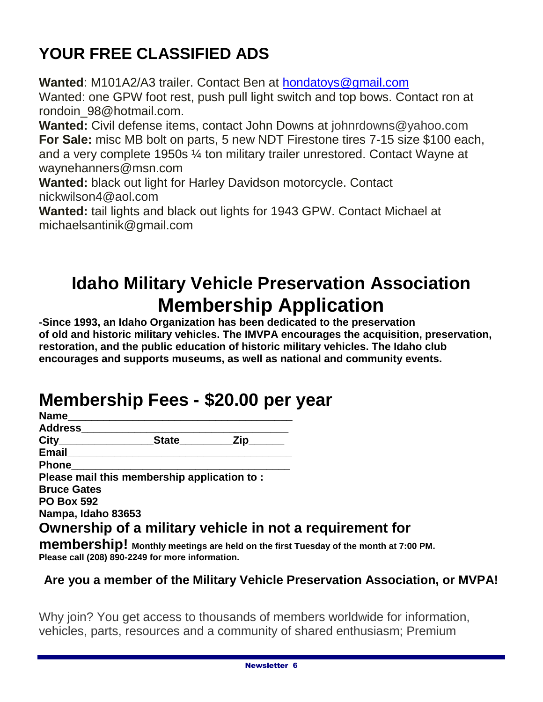## **YOUR FREE CLASSIFIED ADS**

**Wanted**: M101A2/A3 trailer. Contact Ben at [hondatoys@gmail.com](mailto:hondatoys@gmail.com) Wanted: one GPW foot rest, push pull light switch and top bows. Contact ron at rondoin\_98@hotmail.com.

**Wanted:** Civil defense items, contact John Downs at johnrdowns@yahoo.com **For Sale:** misc MB bolt on parts, 5 new NDT Firestone tires 7-15 size \$100 each, and a very complete 1950s ¼ ton military trailer unrestored. Contact Wayne at waynehanners@msn.com

**Wanted:** black out light for Harley Davidson motorcycle. Contact nickwilson4@aol.com

**Wanted:** tail lights and black out lights for 1943 GPW. Contact Michael at michaelsantinik@gmail.com

## **Idaho Military Vehicle Preservation Association Membership Application**

**-Since 1993, an Idaho Organization has been dedicated to the preservation of old and historic military vehicles. The IMVPA encourages the acquisition, preservation, restoration, and the public education of historic military vehicles. The Idaho club encourages and supports museums, as well as national and community events.**

## **Membership Fees - \$20.00 per year**

| Name               |                                                                                 |           |  |
|--------------------|---------------------------------------------------------------------------------|-----------|--|
| Address            |                                                                                 |           |  |
| City_____________  |                                                                                 | State Zip |  |
| Email              |                                                                                 |           |  |
| Phone              |                                                                                 |           |  |
|                    | Please mail this membership application to:                                     |           |  |
| <b>Bruce Gates</b> |                                                                                 |           |  |
| <b>PO Box 592</b>  |                                                                                 |           |  |
| Nampa, Idaho 83653 |                                                                                 |           |  |
|                    | Ownership of a military vehicle in not a requirement for                        |           |  |
|                    | mamharshinl Monthly meetings are hold on the first Tuesday of the manth of 7:00 |           |  |

**MIGHIDERSHIP!** Monthly meetings are held on the first Tuesday of the month at 7:00 PM. **Please call (208) 890-2249 for more information.**

#### **Are you a member of the Military Vehicle Preservation Association, or MVPA!**

Why join? You get access to thousands of members worldwide for information, vehicles, parts, resources and a community of shared enthusiasm; Premium